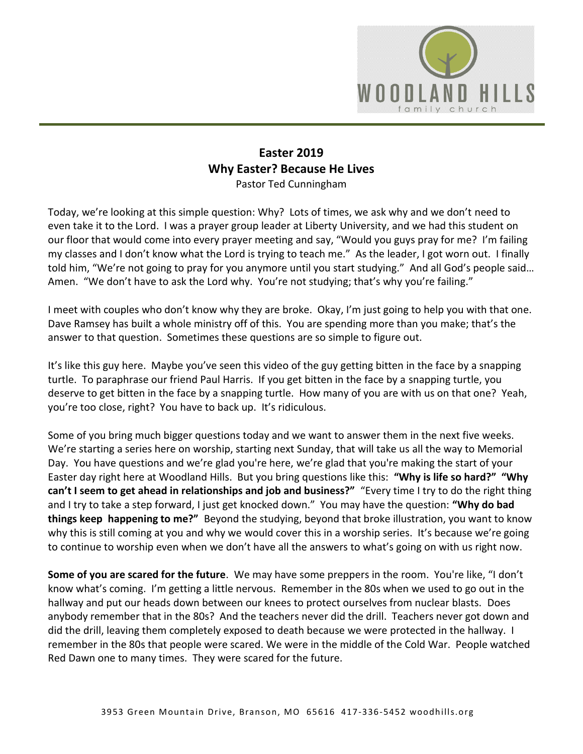

## **Easter 2019 Why Easter? Because He Lives**  Pastor Ted Cunningham

Today, we're looking at this simple question: Why? Lots of times, we ask why and we don't need to even take it to the Lord. I was a prayer group leader at Liberty University, and we had this student on our floor that would come into every prayer meeting and say, "Would you guys pray for me? I'm failing my classes and I don't know what the Lord is trying to teach me." As the leader, I got worn out. I finally told him, "We're not going to pray for you anymore until you start studying." And all God's people said… Amen. "We don't have to ask the Lord why. You're not studying; that's why you're failing."

I meet with couples who don't know why they are broke. Okay, I'm just going to help you with that one. Dave Ramsey has built a whole ministry off of this. You are spending more than you make; that's the answer to that question. Sometimes these questions are so simple to figure out.

It's like this guy here. Maybe you've seen this video of the guy getting bitten in the face by a snapping turtle. To paraphrase our friend Paul Harris. If you get bitten in the face by a snapping turtle, you deserve to get bitten in the face by a snapping turtle. How many of you are with us on that one? Yeah, you're too close, right? You have to back up. It's ridiculous.

Some of you bring much bigger questions today and we want to answer them in the next five weeks. We're starting a series here on worship, starting next Sunday, that will take us all the way to Memorial Day. You have questions and we're glad you're here, we're glad that you're making the start of your Easter day right here at Woodland Hills. But you bring questions like this: **"Why is life so hard?" "Why can't I seem to get ahead in relationships and job and business?"** "Every time I try to do the right thing and I try to take a step forward, I just get knocked down." You may have the question: **"Why do bad things keep happening to me?"** Beyond the studying, beyond that broke illustration, you want to know why this is still coming at you and why we would cover this in a worship series. It's because we're going to continue to worship even when we don't have all the answers to what's going on with us right now.

**Some of you are scared for the future**. We may have some preppers in the room. You're like, "I don't know what's coming. I'm getting a little nervous. Remember in the 80s when we used to go out in the hallway and put our heads down between our knees to protect ourselves from nuclear blasts. Does anybody remember that in the 80s? And the teachers never did the drill. Teachers never got down and did the drill, leaving them completely exposed to death because we were protected in the hallway. I remember in the 80s that people were scared. We were in the middle of the Cold War. People watched Red Dawn one to many times. They were scared for the future.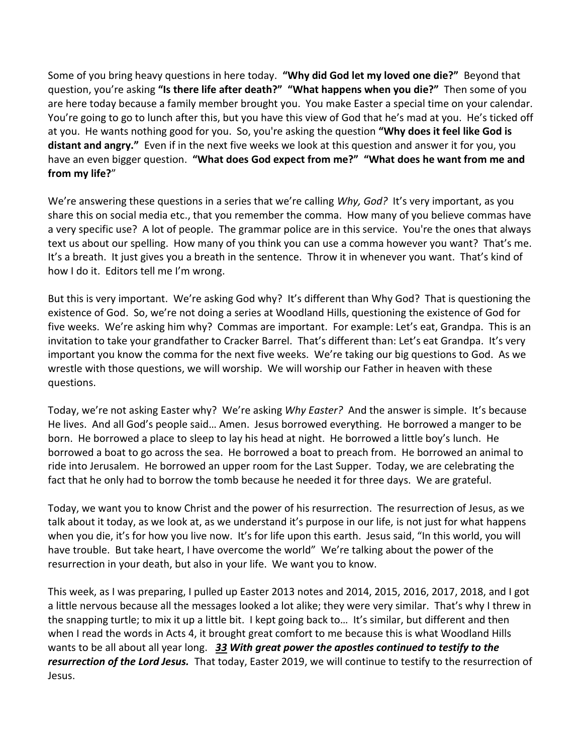Some of you bring heavy questions in here today. **"Why did God let my loved one die?"** Beyond that question, you're asking **"Is there life after death?" "What happens when you die?"** Then some of you are here today because a family member brought you. You make Easter a special time on your calendar. You're going to go to lunch after this, but you have this view of God that he's mad at you. He's ticked off at you. He wants nothing good for you. So, you're asking the question **"Why does it feel like God is distant and angry."** Even if in the next five weeks we look at this question and answer it for you, you have an even bigger question. **"What does God expect from me?" "What does he want from me and from my life?**"

We're answering these questions in a series that we're calling *Why, God?* It's very important, as you share this on social media etc., that you remember the comma. How many of you believe commas have a very specific use? A lot of people. The grammar police are in this service. You're the ones that always text us about our spelling. How many of you think you can use a comma however you want? That's me. It's a breath. It just gives you a breath in the sentence. Throw it in whenever you want. That's kind of how I do it. Editors tell me I'm wrong.

But this is very important. We're asking God why? It's different than Why God? That is questioning the existence of God. So, we're not doing a series at Woodland Hills, questioning the existence of God for five weeks. We're asking him why? Commas are important. For example: Let's eat, Grandpa. This is an invitation to take your grandfather to Cracker Barrel. That's different than: Let's eat Grandpa. It's very important you know the comma for the next five weeks. We're taking our big questions to God. As we wrestle with those questions, we will worship. We will worship our Father in heaven with these questions.

Today, we're not asking Easter why? We're asking *Why Easter?* And the answer is simple. It's because He lives. And all God's people said… Amen. Jesus borrowed everything. He borrowed a manger to be born. He borrowed a place to sleep to lay his head at night. He borrowed a little boy's lunch. He borrowed a boat to go across the sea. He borrowed a boat to preach from. He borrowed an animal to ride into Jerusalem. He borrowed an upper room for the Last Supper. Today, we are celebrating the fact that he only had to borrow the tomb because he needed it for three days. We are grateful.

Today, we want you to know Christ and the power of his resurrection. The resurrection of Jesus, as we talk about it today, as we look at, as we understand it's purpose in our life, is not just for what happens when you die, it's for how you live now. It's for life upon this earth. Jesus said, "In this world, you will have trouble. But take heart, I have overcome the world" We're talking about the power of the resurrection in your death, but also in your life. We want you to know.

This week, as I was preparing, I pulled up Easter 2013 notes and 2014, 2015, 2016, 2017, 2018, and I got a little nervous because all the messages looked a lot alike; they were very similar. That's why I threw in the snapping turtle; to mix it up a little bit. I kept going back to… It's similar, but different and then when I read the words in Acts 4, it brought great comfort to me because this is what Woodland Hills wants to be all about all year long. *[33](https://www.studylight.org/desk/?q=ac%204:33&t1=en_niv&sr=1) With great power the apostles continued to testify to the resurrection of the Lord Jesus.* That today, Easter 2019, we will continue to testify to the resurrection of Jesus.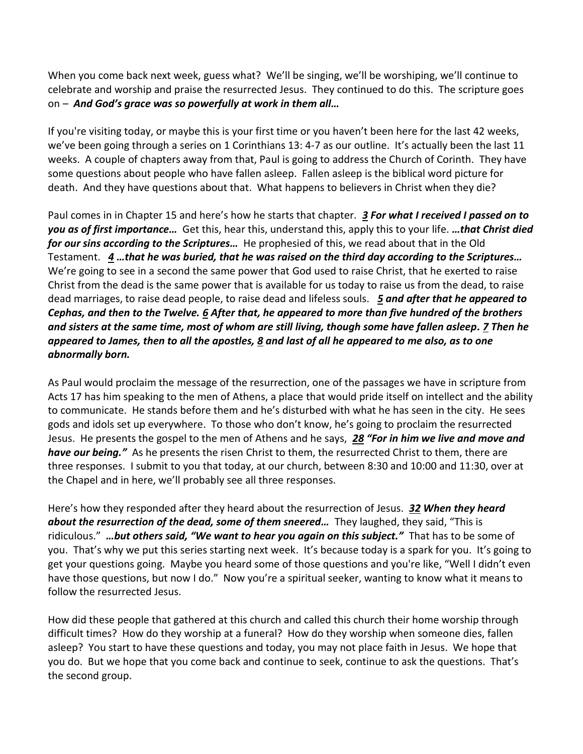When you come back next week, guess what? We'll be singing, we'll be worshiping, we'll continue to celebrate and worship and praise the resurrected Jesus. They continued to do this. The scripture goes on – *And God's grace was so powerfully at work in them all…*

If you're visiting today, or maybe this is your first time or you haven't been here for the last 42 weeks, we've been going through a series on 1 Corinthians 13: 4-7 as our outline. It's actually been the last 11 weeks. A couple of chapters away from that, Paul is going to address the Church of Corinth. They have some questions about people who have fallen asleep. Fallen asleep is the biblical word picture for death. And they have questions about that. What happens to believers in Christ when they die?

Paul comes in in Chapter 15 and here's how he starts that chapter. *[3](https://www.studylight.org/desk/?q=1co%2015:3&t1=en_niv&sr=1) For what I received I passed on to you as of first importance…* Get this, hear this, understand this, apply this to your life. *…that Christ died for our sins according to the Scriptures…* He prophesied of this, we read about that in the Old Testament. *[4](https://www.studylight.org/desk/?q=1co%2015:4&t1=en_niv&sr=1) …that he was buried, that he was raised on the third day according to the Scriptures…*  We're going to see in a second the same power that God used to raise Christ, that he exerted to raise Christ from the dead is the same power that is available for us today to raise us from the dead, to raise dead marriages, to raise dead people, to raise dead and lifeless souls. *[5](https://www.studylight.org/desk/?q=1co%2015:5&t1=en_niv&sr=1) and after that he appeared to Cephas, and then to the Twelve. [6](https://www.studylight.org/desk/?q=1co%2015:6&t1=en_niv&sr=1) After that, he appeared to more than five hundred of the brothers and sisters at the same time, most of whom are still living, though some have fallen asleep. [7](https://www.studylight.org/desk/?q=1co%2015:7&t1=en_niv&sr=1) Then he appeared to James, then to all the apostles, [8](https://www.studylight.org/desk/?q=1co%2015:8&t1=en_niv&sr=1) and last of all he appeared to me also, as to one abnormally born.*

As Paul would proclaim the message of the resurrection, one of the passages we have in scripture from Acts 17 has him speaking to the men of Athens, a place that would pride itself on intellect and the ability to communicate. He stands before them and he's disturbed with what he has seen in the city. He sees gods and idols set up everywhere. To those who don't know, he's going to proclaim the resurrected Jesus. He presents the gospel to the men of Athens and he says, *[28](https://www.studylight.org/desk/?q=ac%2017:28&t1=en_niv&sr=1) "For in him we live and move and have our being."* As he presents the risen Christ to them, the resurrected Christ to them, there are three responses. I submit to you that today, at our church, between 8:30 and 10:00 and 11:30, over at the Chapel and in here, we'll probably see all three responses.

Here's how they responded after they heard about the resurrection of Jesus. *[32](https://www.studylight.org/desk/?q=ac%2017:32&t1=en_niv&sr=1) When they heard about the resurrection of the dead, some of them sneered…* They laughed, they said, "This is ridiculous." *…but others said, "We want to hear you again on this subject."* That has to be some of you. That's why we put this series starting next week. It's because today is a spark for you. It's going to get your questions going. Maybe you heard some of those questions and you're like, "Well I didn't even have those questions, but now I do." Now you're a spiritual seeker, wanting to know what it means to follow the resurrected Jesus.

How did these people that gathered at this church and called this church their home worship through difficult times? How do they worship at a funeral? How do they worship when someone dies, fallen asleep? You start to have these questions and today, you may not place faith in Jesus. We hope that you do. But we hope that you come back and continue to seek, continue to ask the questions. That's the second group.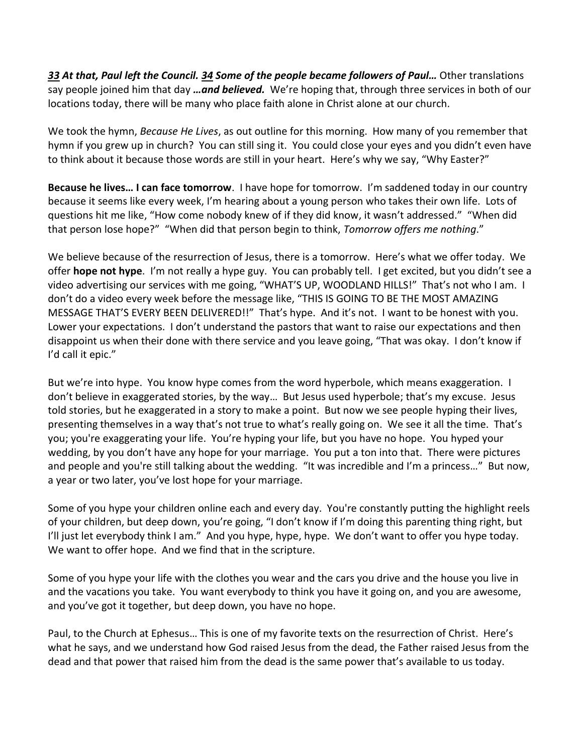*[33](https://www.studylight.org/desk/?q=ac%2017:33&t1=en_niv&sr=1) At that, Paul left the Council. [34](https://www.studylight.org/desk/?q=ac%2017:34&t1=en_niv&sr=1) Some of the people became followers of Paul…* Other translations say people joined him that day *…and believed.* We're hoping that, through three services in both of our locations today, there will be many who place faith alone in Christ alone at our church.

We took the hymn, *Because He Lives*, as out outline for this morning. How many of you remember that hymn if you grew up in church? You can still sing it. You could close your eyes and you didn't even have to think about it because those words are still in your heart. Here's why we say, "Why Easter?"

**Because he lives… I can face tomorrow**. I have hope for tomorrow. I'm saddened today in our country because it seems like every week, I'm hearing about a young person who takes their own life. Lots of questions hit me like, "How come nobody knew of if they did know, it wasn't addressed." "When did that person lose hope?" "When did that person begin to think, *Tomorrow offers me nothing*."

We believe because of the resurrection of Jesus, there is a tomorrow. Here's what we offer today. We offer **hope not hype**. I'm not really a hype guy. You can probably tell. I get excited, but you didn't see a video advertising our services with me going, "WHAT'S UP, WOODLAND HILLS!" That's not who I am. I don't do a video every week before the message like, "THIS IS GOING TO BE THE MOST AMAZING MESSAGE THAT'S EVERY BEEN DELIVERED!!" That's hype. And it's not. I want to be honest with you. Lower your expectations. I don't understand the pastors that want to raise our expectations and then disappoint us when their done with there service and you leave going, "That was okay. I don't know if I'd call it epic."

But we're into hype. You know hype comes from the word hyperbole, which means exaggeration. I don't believe in exaggerated stories, by the way… But Jesus used hyperbole; that's my excuse. Jesus told stories, but he exaggerated in a story to make a point. But now we see people hyping their lives, presenting themselves in a way that's not true to what's really going on. We see it all the time. That's you; you're exaggerating your life. You're hyping your life, but you have no hope. You hyped your wedding, by you don't have any hope for your marriage. You put a ton into that. There were pictures and people and you're still talking about the wedding. "It was incredible and I'm a princess…" But now, a year or two later, you've lost hope for your marriage.

Some of you hype your children online each and every day. You're constantly putting the highlight reels of your children, but deep down, you're going, "I don't know if I'm doing this parenting thing right, but I'll just let everybody think I am." And you hype, hype, hype. We don't want to offer you hype today. We want to offer hope. And we find that in the scripture.

Some of you hype your life with the clothes you wear and the cars you drive and the house you live in and the vacations you take. You want everybody to think you have it going on, and you are awesome, and you've got it together, but deep down, you have no hope.

Paul, to the Church at Ephesus… This is one of my favorite texts on the resurrection of Christ. Here's what he says, and we understand how God raised Jesus from the dead, the Father raised Jesus from the dead and that power that raised him from the dead is the same power that's available to us today.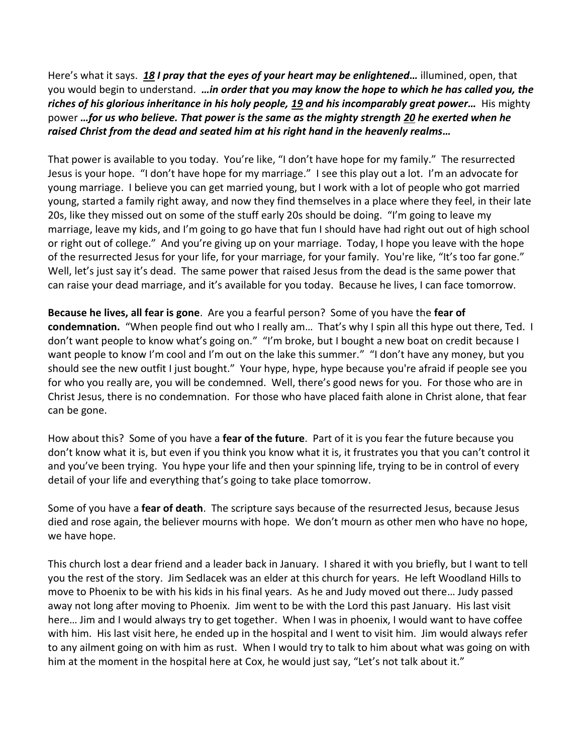Here's what it says. *[18](https://www.studylight.org/desk/?q=eph%201:18&t1=en_niv&sr=1) I pray that the eyes of your heart may be enlightened…* illumined, open, that you would begin to understand. *…in order that you may know the hope to which he has called you, the riches of his glorious inheritance in his holy people, [19](https://www.studylight.org/desk/?q=eph%201:19&t1=en_niv&sr=1) and his incomparably great power…* His mighty power *…for us who believe. That power is the same as the mighty strength [20](https://www.studylight.org/desk/?q=eph%201:20&t1=en_niv&sr=1) he exerted when he raised Christ from the dead and seated him at his right hand in the heavenly realms…*

That power is available to you today. You're like, "I don't have hope for my family." The resurrected Jesus is your hope. "I don't have hope for my marriage." I see this play out a lot. I'm an advocate for young marriage. I believe you can get married young, but I work with a lot of people who got married young, started a family right away, and now they find themselves in a place where they feel, in their late 20s, like they missed out on some of the stuff early 20s should be doing. "I'm going to leave my marriage, leave my kids, and I'm going to go have that fun I should have had right out out of high school or right out of college." And you're giving up on your marriage. Today, I hope you leave with the hope of the resurrected Jesus for your life, for your marriage, for your family. You're like, "It's too far gone." Well, let's just say it's dead. The same power that raised Jesus from the dead is the same power that can raise your dead marriage, and it's available for you today. Because he lives, I can face tomorrow.

**Because he lives, all fear is gone**. Are you a fearful person? Some of you have the **fear of condemnation.** "When people find out who I really am… That's why I spin all this hype out there, Ted. I don't want people to know what's going on." "I'm broke, but I bought a new boat on credit because I want people to know I'm cool and I'm out on the lake this summer." "I don't have any money, but you should see the new outfit I just bought." Your hype, hype, hype because you're afraid if people see you for who you really are, you will be condemned. Well, there's good news for you. For those who are in Christ Jesus, there is no condemnation. For those who have placed faith alone in Christ alone, that fear can be gone.

How about this? Some of you have a **fear of the future**. Part of it is you fear the future because you don't know what it is, but even if you think you know what it is, it frustrates you that you can't control it and you've been trying. You hype your life and then your spinning life, trying to be in control of every detail of your life and everything that's going to take place tomorrow.

Some of you have a **fear of death**. The scripture says because of the resurrected Jesus, because Jesus died and rose again, the believer mourns with hope. We don't mourn as other men who have no hope, we have hope.

This church lost a dear friend and a leader back in January. I shared it with you briefly, but I want to tell you the rest of the story. Jim Sedlacek was an elder at this church for years. He left Woodland Hills to move to Phoenix to be with his kids in his final years. As he and Judy moved out there… Judy passed away not long after moving to Phoenix. Jim went to be with the Lord this past January. His last visit here… Jim and I would always try to get together. When I was in phoenix, I would want to have coffee with him. His last visit here, he ended up in the hospital and I went to visit him. Jim would always refer to any ailment going on with him as rust. When I would try to talk to him about what was going on with him at the moment in the hospital here at Cox, he would just say, "Let's not talk about it."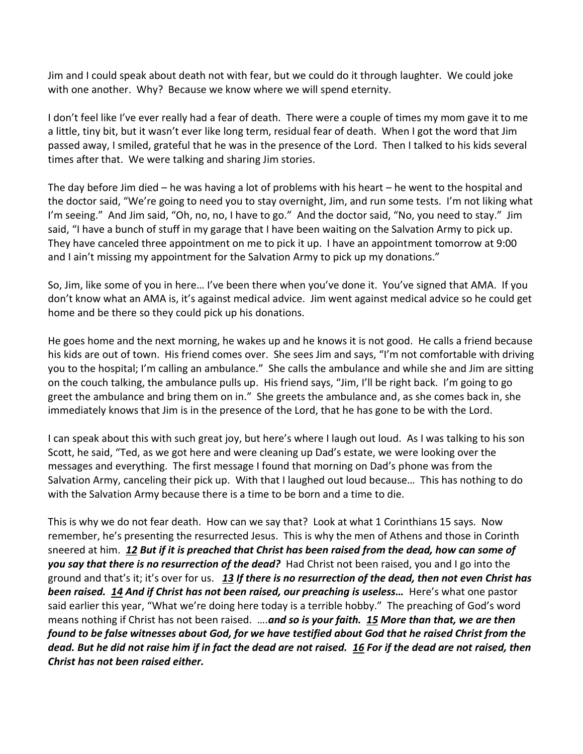Jim and I could speak about death not with fear, but we could do it through laughter. We could joke with one another. Why? Because we know where we will spend eternity.

I don't feel like I've ever really had a fear of death. There were a couple of times my mom gave it to me a little, tiny bit, but it wasn't ever like long term, residual fear of death. When I got the word that Jim passed away, I smiled, grateful that he was in the presence of the Lord. Then I talked to his kids several times after that. We were talking and sharing Jim stories.

The day before Jim died – he was having a lot of problems with his heart – he went to the hospital and the doctor said, "We're going to need you to stay overnight, Jim, and run some tests. I'm not liking what I'm seeing." And Jim said, "Oh, no, no, I have to go." And the doctor said, "No, you need to stay." Jim said, "I have a bunch of stuff in my garage that I have been waiting on the Salvation Army to pick up. They have canceled three appointment on me to pick it up. I have an appointment tomorrow at 9:00 and I ain't missing my appointment for the Salvation Army to pick up my donations."

So, Jim, like some of you in here… I've been there when you've done it. You've signed that AMA. If you don't know what an AMA is, it's against medical advice. Jim went against medical advice so he could get home and be there so they could pick up his donations.

He goes home and the next morning, he wakes up and he knows it is not good. He calls a friend because his kids are out of town. His friend comes over. She sees Jim and says, "I'm not comfortable with driving you to the hospital; I'm calling an ambulance." She calls the ambulance and while she and Jim are sitting on the couch talking, the ambulance pulls up. His friend says, "Jim, I'll be right back. I'm going to go greet the ambulance and bring them on in." She greets the ambulance and, as she comes back in, she immediately knows that Jim is in the presence of the Lord, that he has gone to be with the Lord.

I can speak about this with such great joy, but here's where I laugh out loud. As I was talking to his son Scott, he said, "Ted, as we got here and were cleaning up Dad's estate, we were looking over the messages and everything. The first message I found that morning on Dad's phone was from the Salvation Army, canceling their pick up. With that I laughed out loud because… This has nothing to do with the Salvation Army because there is a time to be born and a time to die.

This is why we do not fear death. How can we say that? Look at what 1 Corinthians 15 says. Now remember, he's presenting the resurrected Jesus. This is why the men of Athens and those in Corinth sneered at him. *[12](https://www.studylight.org/desk/?q=1co%2015:12&t1=en_niv&sr=1) But if it is preached that Christ has been raised from the dead, how can some of you say that there is no resurrection of the dead?* Had Christ not been raised, you and I go into the ground and that's it; it's over for us. *[13](https://www.studylight.org/desk/?q=1co%2015:13&t1=en_niv&sr=1) If there is no resurrection of the dead, then not even Christ has been raised. [14](https://www.studylight.org/desk/?q=1co%2015:14&t1=en_niv&sr=1) And if Christ has not been raised, our preaching is useless…* Here's what one pastor said earlier this year, "What we're doing here today is a terrible hobby." The preaching of God's word means nothing if Christ has not been raised. ….*and so is your faith. [15](https://www.studylight.org/desk/?q=1co%2015:15&t1=en_niv&sr=1) More than that, we are then found to be false witnesses about God, for we have testified about God that he raised Christ from the dead. But he did not raise him if in fact the dead are not raised. [16](https://www.studylight.org/desk/?q=1co%2015:16&t1=en_niv&sr=1) For if the dead are not raised, then Christ has not been raised either.*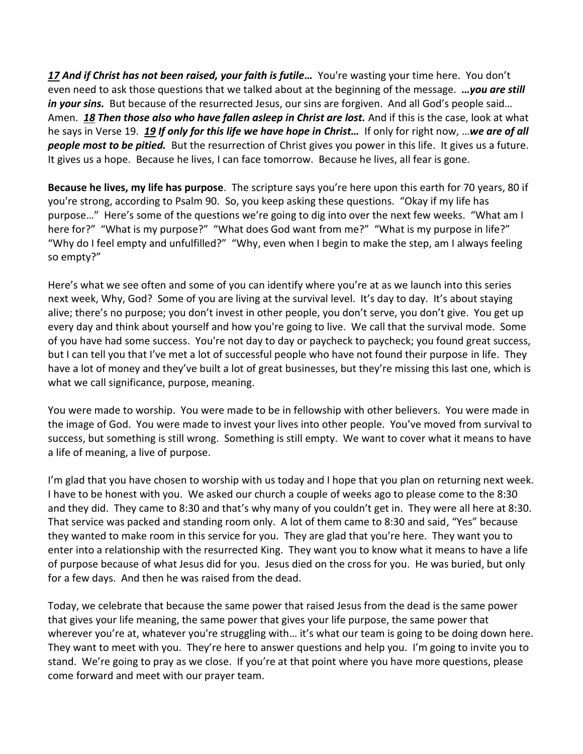*[17](https://www.studylight.org/desk/?q=1co%2015:17&t1=en_niv&sr=1) And if Christ has not been raised, your faith is futile…* You're wasting your time here. You don't even need to ask those questions that we talked about at the beginning of the message. *…you are still in your sins.* But because of the resurrected Jesus, our sins are forgiven. And all God's people said... Amen. *[18](https://www.studylight.org/desk/?q=1co%2015:18&t1=en_niv&sr=1) Then those also who have fallen asleep in Christ are lost.* And if this is the case, look at what he says in Verse 19. *[19](https://www.studylight.org/desk/?q=1co%2015:19&t1=en_niv&sr=1) If only for this life we have hope in Christ…* If only for right now, …*we are of all people most to be pitied.* But the resurrection of Christ gives you power in this life. It gives us a future. It gives us a hope. Because he lives, I can face tomorrow. Because he lives, all fear is gone.

**Because he lives, my life has purpose**. The scripture says you're here upon this earth for 70 years, 80 if you're strong, according to Psalm 90. So, you keep asking these questions. "Okay if my life has purpose…" Here's some of the questions we're going to dig into over the next few weeks. "What am I here for?" "What is my purpose?" "What does God want from me?" "What is my purpose in life?" "Why do I feel empty and unfulfilled?" "Why, even when I begin to make the step, am I always feeling so empty?"

Here's what we see often and some of you can identify where you're at as we launch into this series next week, Why, God? Some of you are living at the survival level. It's day to day. It's about staying alive; there's no purpose; you don't invest in other people, you don't serve, you don't give. You get up every day and think about yourself and how you're going to live. We call that the survival mode. Some of you have had some success. You're not day to day or paycheck to paycheck; you found great success, but I can tell you that I've met a lot of successful people who have not found their purpose in life. They have a lot of money and they've built a lot of great businesses, but they're missing this last one, which is what we call significance, purpose, meaning.

You were made to worship. You were made to be in fellowship with other believers. You were made in the image of God. You were made to invest your lives into other people. You've moved from survival to success, but something is still wrong. Something is still empty. We want to cover what it means to have a life of meaning, a live of purpose.

I'm glad that you have chosen to worship with us today and I hope that you plan on returning next week. I have to be honest with you. We asked our church a couple of weeks ago to please come to the 8:30 and they did. They came to 8:30 and that's why many of you couldn't get in. They were all here at 8:30. That service was packed and standing room only. A lot of them came to 8:30 and said, "Yes" because they wanted to make room in this service for you. They are glad that you're here. They want you to enter into a relationship with the resurrected King. They want you to know what it means to have a life of purpose because of what Jesus did for you. Jesus died on the cross for you. He was buried, but only for a few days. And then he was raised from the dead.

Today, we celebrate that because the same power that raised Jesus from the dead is the same power that gives your life meaning, the same power that gives your life purpose, the same power that wherever you're at, whatever you're struggling with... it's what our team is going to be doing down here. They want to meet with you. They're here to answer questions and help you. I'm going to invite you to stand. We're going to pray as we close. If you're at that point where you have more questions, please come forward and meet with our prayer team.